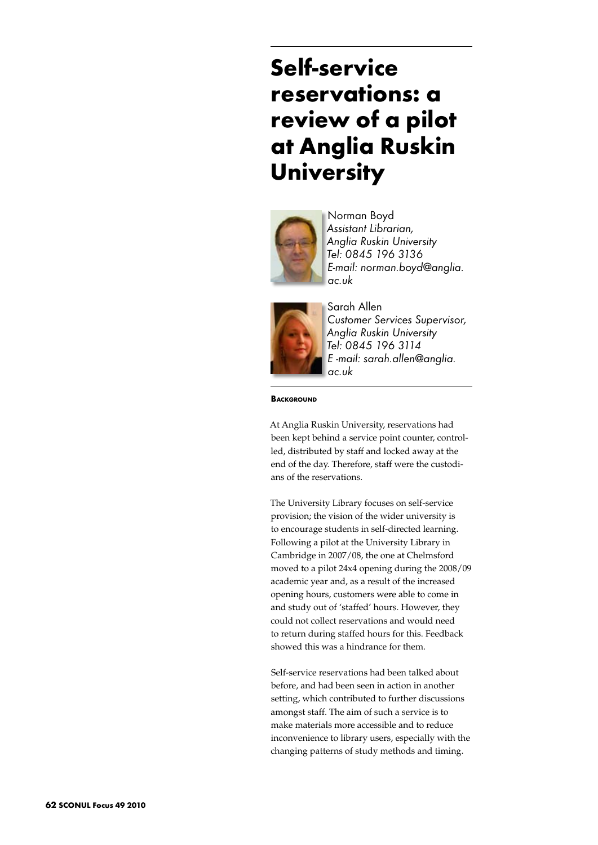# **Self-service reservations: a review of a pilot at Anglia Ruskin University**



Norman Boyd *Assistant Librarian, Anglia Ruskin University Tel: 0845 196 3136 E-mail: norman.boyd@anglia. ac.uk* 



Sarah Allen *Customer Services Supervisor, Anglia Ruskin University Tel: 0845 196 3114 E -mail: sarah.allen@anglia. ac.uk* 

**BACKGROUND** 

At Anglia Ruskin University, reservations had been kept behind a service point counter, controlled, distributed by staff and locked away at the end of the day. Therefore, staff were the custodians of the reservations.

The University Library focuses on self-service provision; the vision of the wider university is to encourage students in self-directed learning. Following a pilot at the University Library in Cambridge in 2007/08, the one at Chelmsford moved to a pilot 24x4 opening during the 2008/09 academic year and, as a result of the increased opening hours, customers were able to come in and study out of 'staffed' hours. However, they could not collect reservations and would need to return during staffed hours for this. Feedback showed this was a hindrance for them.

Self-service reservations had been talked about before, and had been seen in action in another setting, which contributed to further discussions amongst staff. The aim of such a service is to make materials more accessible and to reduce inconvenience to library users, especially with the changing patterns of study methods and timing.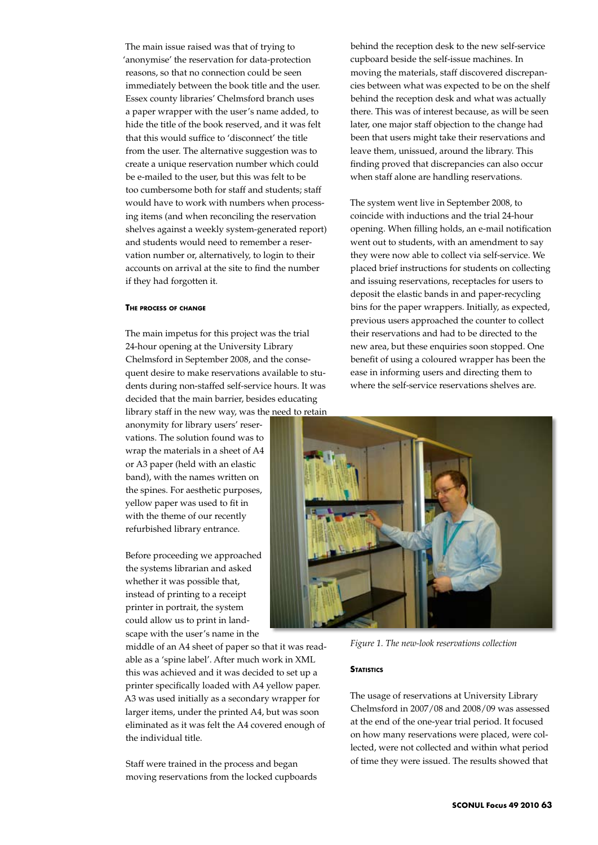The main issue raised was that of trying to 'anonymise' the reservation for data-protection reasons, so that no connection could be seen immediately between the book title and the user. Essex county libraries' Chelmsford branch uses a paper wrapper with the user's name added, to hide the title of the book reserved, and it was felt that this would suffice to 'disconnect' the title from the user. The alternative suggestion was to create a unique reservation number which could be e-mailed to the user, but this was felt to be too cumbersome both for staff and students; staff would have to work with numbers when processing items (and when reconciling the reservation shelves against a weekly system-generated report) and students would need to remember a reservation number or, alternatively, to login to their accounts on arrival at the site to find the number if they had forgotten it.

### **The process of change**

The main impetus for this project was the trial 24-hour opening at the University Library Chelmsford in September 2008, and the consequent desire to make reservations available to students during non-staffed self-service hours. It was decided that the main barrier, besides educating library staff in the new way, was the need to retain

anonymity for library users' reservations. The solution found was to wrap the materials in a sheet of A4 or A3 paper (held with an elastic band), with the names written on the spines. For aesthetic purposes, yellow paper was used to fit in with the theme of our recently refurbished library entrance.

Before proceeding we approached the systems librarian and asked whether it was possible that, instead of printing to a receipt printer in portrait, the system could allow us to print in landscape with the user's name in the

middle of an A4 sheet of paper so that it was readable as a 'spine label'. After much work in XML this was achieved and it was decided to set up a printer specifically loaded with A4 yellow paper. A3 was used initially as a secondary wrapper for larger items, under the printed A4, but was soon eliminated as it was felt the A4 covered enough of the individual title.

Staff were trained in the process and began moving reservations from the locked cupboards

behind the reception desk to the new self-service cupboard beside the self-issue machines. In moving the materials, staff discovered discrepancies between what was expected to be on the shelf behind the reception desk and what was actually there. This was of interest because, as will be seen later, one major staff objection to the change had been that users might take their reservations and leave them, unissued, around the library. This finding proved that discrepancies can also occur when staff alone are handling reservations.

The system went live in September 2008, to coincide with inductions and the trial 24-hour opening. When filling holds, an e-mail notification went out to students, with an amendment to say they were now able to collect via self-service. We placed brief instructions for students on collecting and issuing reservations, receptacles for users to deposit the elastic bands in and paper-recycling bins for the paper wrappers. Initially, as expected, previous users approached the counter to collect their reservations and had to be directed to the new area, but these enquiries soon stopped. One benefit of using a coloured wrapper has been the ease in informing users and directing them to where the self-service reservations shelves are.



*Figure 1. The new-look reservations collection*

### **STATISTICS**

The usage of reservations at University Library Chelmsford in 2007/08 and 2008/09 was assessed at the end of the one-year trial period. It focused on how many reservations were placed, were collected, were not collected and within what period of time they were issued. The results showed that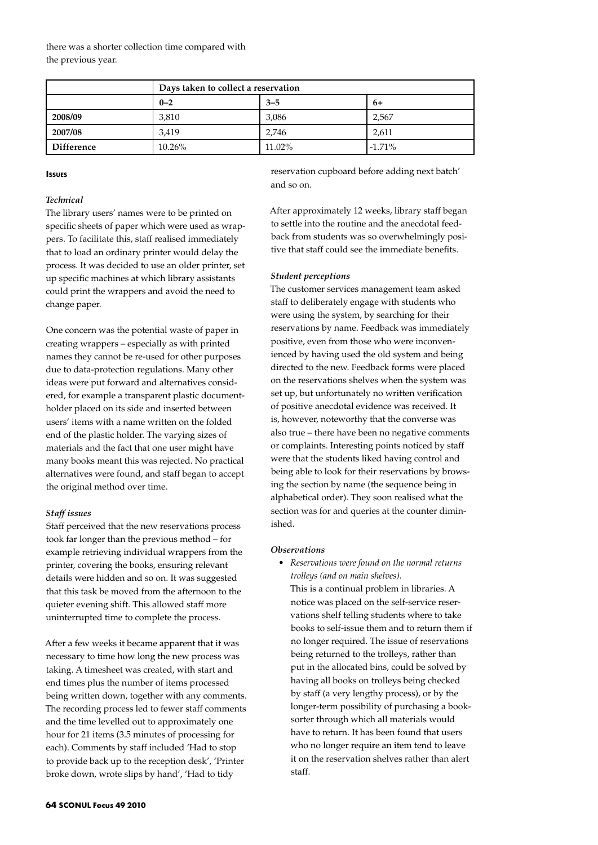there was a shorter collection time compared with the previous year.

|                   | Days taken to collect a reservation |         |          |
|-------------------|-------------------------------------|---------|----------|
|                   | $0 - 2$                             | $3 - 5$ | 6+       |
| 2008/09           | 3,810                               | 3,086   | 2,567    |
| 2007/08           | 3.419                               | 2.746   | 2,611    |
| <b>Difference</b> | 10.26%                              | 11.02%  | $-1.71%$ |

### **Issues**

# *Technical*

The library users' names were to be printed on specific sheets of paper which were used as wrappers. To facilitate this, staff realised immediately that to load an ordinary printer would delay the process. It was decided to use an older printer, set up specific machines at which library assistants could print the wrappers and avoid the need to change paper.

One concern was the potential waste of paper in creating wrappers – especially as with printed names they cannot be re-used for other purposes due to data-protection regulations. Many other ideas were put forward and alternatives considered, for example a transparent plastic documentholder placed on its side and inserted between users' items with a name written on the folded end of the plastic holder. The varying sizes of materials and the fact that one user might have many books meant this was rejected. No practical alternatives were found, and staff began to accept the original method over time.

## *Staff issues*

Staff perceived that the new reservations process took far longer than the previous method – for example retrieving individual wrappers from the printer, covering the books, ensuring relevant details were hidden and so on. It was suggested that this task be moved from the afternoon to the quieter evening shift. This allowed staff more uninterrupted time to complete the process.

After a few weeks it became apparent that it was necessary to time how long the new process was taking. A timesheet was created, with start and end times plus the number of items processed being written down, together with any comments. The recording process led to fewer staff comments and the time levelled out to approximately one hour for 21 items (3.5 minutes of processing for each). Comments by staff included 'Had to stop to provide back up to the reception desk', 'Printer broke down, wrote slips by hand', 'Had to tidy

reservation cupboard before adding next batch' and so on.

After approximately 12 weeks, library staff began to settle into the routine and the anecdotal feedback from students was so overwhelmingly positive that staff could see the immediate benefits.

#### *Student perceptions*

The customer services management team asked staff to deliberately engage with students who were using the system, by searching for their reservations by name. Feedback was immediately positive, even from those who were inconvenienced by having used the old system and being directed to the new. Feedback forms were placed on the reservations shelves when the system was set up, but unfortunately no written verification of positive anecdotal evidence was received. It is, however, noteworthy that the converse was also true – there have been no negative comments or complaints. Interesting points noticed by staff were that the students liked having control and being able to look for their reservations by browsing the section by name (the sequence being in alphabetical order). They soon realised what the section was for and queries at the counter diminished.

## *Observations*

• *Reservations were found on the normal returns trolleys (and on main shelves).* 

This is a continual problem in libraries. A notice was placed on the self-service reservations shelf telling students where to take books to self-issue them and to return them if no longer required. The issue of reservations being returned to the trolleys, rather than put in the allocated bins, could be solved by having all books on trolleys being checked by staff (a very lengthy process), or by the longer-term possibility of purchasing a booksorter through which all materials would have to return. It has been found that users who no longer require an item tend to leave it on the reservation shelves rather than alert staff.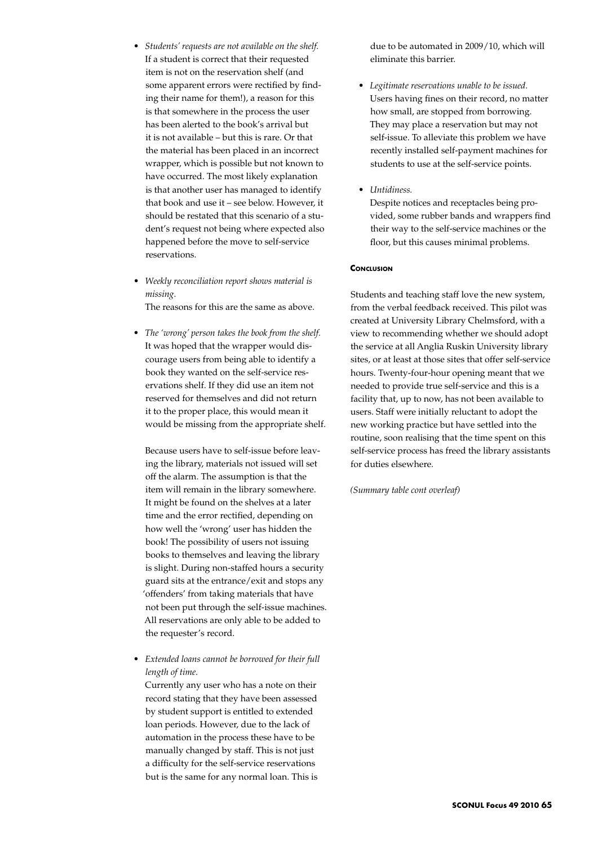- *• Students' requests are not available on the shelf.* If a student is correct that their requested item is not on the reservation shelf (and some apparent errors were rectified by finding their name for them!), a reason for this is that somewhere in the process the user has been alerted to the book's arrival but it is not available – but this is rare. Or that the material has been placed in an incorrect wrapper, which is possible but not known to have occurred. The most likely explanation is that another user has managed to identify that book and use it – see below. However, it should be restated that this scenario of a student's request not being where expected also happened before the move to self-service reservations.
- *• Weekly reconciliation report shows material is missing.* The reasons for this are the same as above.
- *• The 'wrong' person takes the book from the shelf.* It was hoped that the wrapper would discourage users from being able to identify a book they wanted on the self-service reservations shelf. If they did use an item not reserved for themselves and did not return it to the proper place, this would mean it would be missing from the appropriate shelf.

Because users have to self-issue before leaving the library, materials not issued will set off the alarm. The assumption is that the item will remain in the library somewhere. It might be found on the shelves at a later time and the error rectified, depending on how well the 'wrong' user has hidden the book! The possibility of users not issuing books to themselves and leaving the library is slight. During non-staffed hours a security guard sits at the entrance/exit and stops any 'offenders' from taking materials that have not been put through the self-issue machines. All reservations are only able to be added to the requester's record.

*• Extended loans cannot be borrowed for their full length of time.*

Currently any user who has a note on their record stating that they have been assessed by student support is entitled to extended loan periods. However, due to the lack of automation in the process these have to be manually changed by staff. This is not just a difficulty for the self-service reservations but is the same for any normal loan. This is due to be automated in 2009/10, which will eliminate this barrier.

- *• Legitimate reservations unable to be issued.* Users having fines on their record, no matter how small, are stopped from borrowing. They may place a reservation but may not self-issue. To alleviate this problem we have recently installed self-payment machines for students to use at the self-service points.
- *• Untidiness.*

Despite notices and receptacles being provided, some rubber bands and wrappers find their way to the self-service machines or the floor, but this causes minimal problems.

# **CONCLUSION**

Students and teaching staff love the new system, from the verbal feedback received. This pilot was created at University Library Chelmsford, with a view to recommending whether we should adopt the service at all Anglia Ruskin University library sites, or at least at those sites that offer self-service hours. Twenty-four-hour opening meant that we needed to provide true self-service and this is a facility that, up to now, has not been available to users. Staff were initially reluctant to adopt the new working practice but have settled into the routine, soon realising that the time spent on this self-service process has freed the library assistants for duties elsewhere.

*(Summary table cont overleaf)*